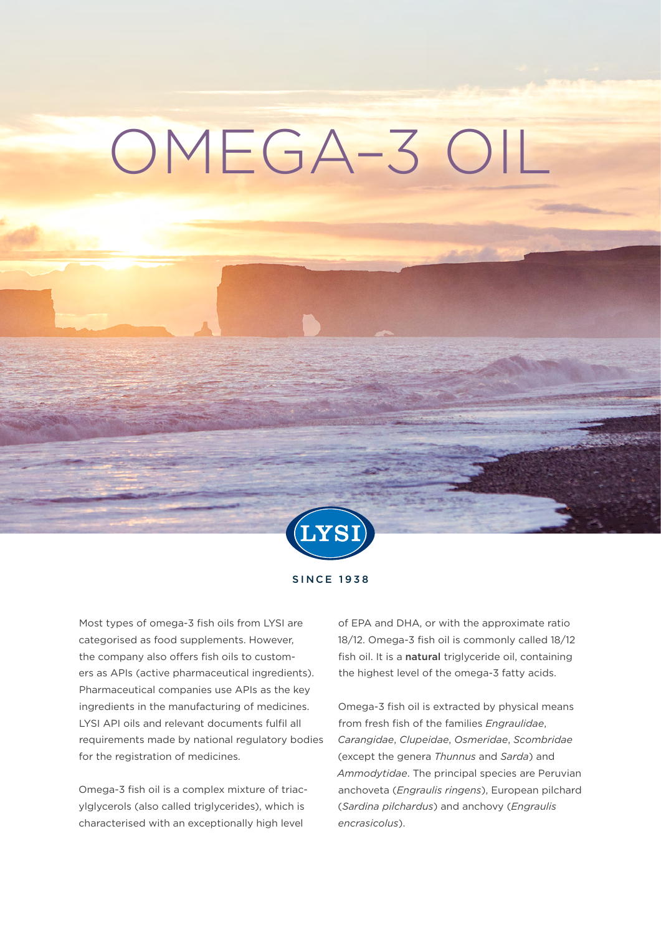# OMEGA–3 OIL



SINCE 1938

Most types of omega-3 fish oils from LYSI are categorised as food supplements. However, the company also offers fish oils to customers as APIs (active pharmaceutical ingredients). Pharmaceutical companies use APIs as the key ingredients in the manufacturing of medicines. LYSI API oils and relevant documents fulfil all requirements made by national regulatory bodies for the registration of medicines.

Omega-3 fish oil is a complex mixture of triacylglycerols (also called triglycerides), which is characterised with an exceptionally high level

of EPA and DHA, or with the approximate ratio 18/12. Omega-3 fish oil is commonly called 18/12 fish oil. It is a natural triglyceride oil, containing the highest level of the omega-3 fatty acids.

Omega-3 fish oil is extracted by physical means from fresh fish of the families *Engraulidae*, *Carangidae*, *Clupeidae*, *Osmeridae*, *Scombridae* (except the genera *Thunnus* and *Sarda*) and *Ammodytidae*. The principal species are Peruvian anchoveta (*Engraulis ringens*), European pilchard (*Sardina pilchardus*) and anchovy (*Engraulis encrasicolus*).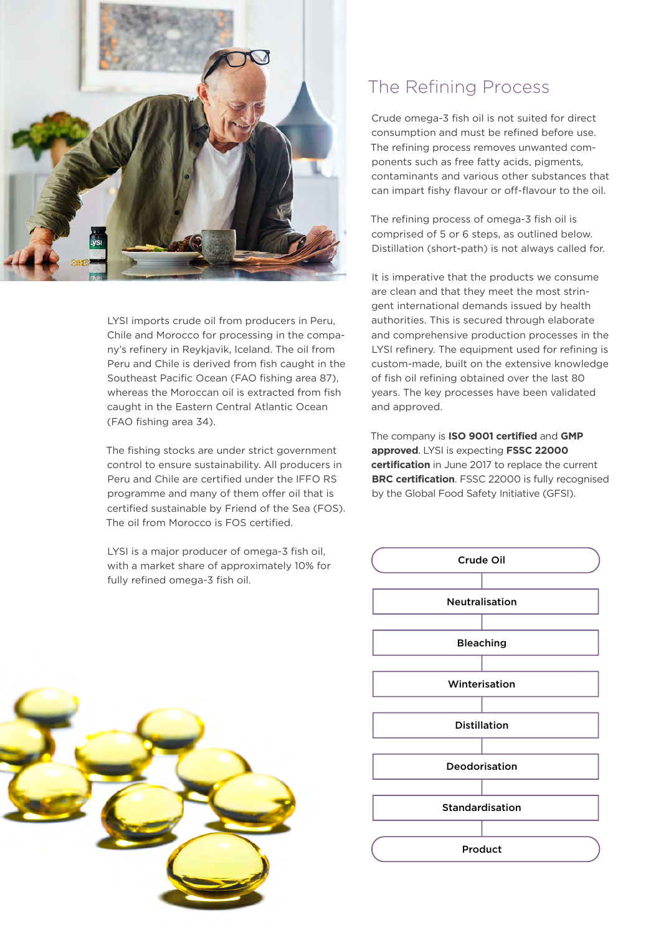

LYSI imports crude oil from producers in Peru, Chile and Morocco for processing in the company's refinery in Reykjavik, Iceland. The oil from Peru and Chile is derived from fish caught in the Southeast Pacific Ocean (FAO fishing area 87), whereas the Moroccan oil is extracted from fish caught in the Eastern Central Atlantic Ocean (FAO fishing area 34).

The fishing stocks are under strict government control to ensure sustainability. All producers in Peru and Chile are certified under the IFFO RS programme and many of them offer oil that is certified sustainable by Friend of the Sea (FOS). The oil from Morocco is FOS certified.

LYSI is a major producer of omega-3 fish oil, with a market share of approximately 10% for fully refined omega-3 fish oil.



Crude omega-3 fish oil is not suited for direct consumption and must be refined before use. The refining process removes unwanted components such as free fatty acids, pigments, contaminants and various other substances that can impart fishy flavour or off-flavour to the oil.

The refining process of omega-3 fish oil is comprised of 5 or 6 steps, as outlined below. Distillation (short-path) is not always called for.

It is imperative that the products we consume are clean and that they meet the most stringent international demands issued by health authorities. This is secured through elaborate and comprehensive production processes in the LYSI refinery. The equipment used for refining is custom-made, built on the extensive knowledge of fish oil refining obtained over the last 80 years. The key processes have been validated and approved.

The company is **ISO 9001 certified** and **GMP approved**. LYSI is expecting **FSSC 22000 certification** in June 2017 to replace the current **BRC certification**. FSSC 22000 is fully recognised by the Global Food Safety Initiative (GFSI).



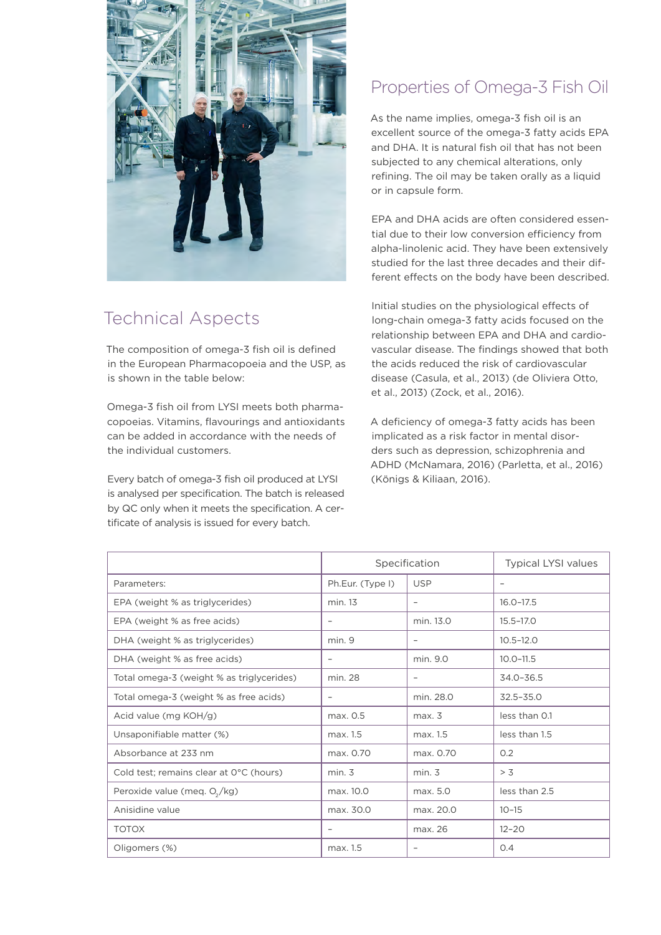

## Technical Aspects

The composition of omega-3 fish oil is defined in the European Pharmacopoeia and the USP, as is shown in the table below:

Omega-3 fish oil from LYSI meets both pharmacopoeias. Vitamins, flavourings and antioxidants can be added in accordance with the needs of the individual customers.

Every batch of omega-3 fish oil produced at LYSI is analysed per specification. The batch is released by QC only when it meets the specification. A certificate of analysis is issued for every batch.

### Properties of Omega-3 Fish Oil

As the name implies, omega-3 fish oil is an excellent source of the omega-3 fatty acids EPA and DHA. It is natural fish oil that has not been subjected to any chemical alterations, only refining. The oil may be taken orally as a liquid or in capsule form.

EPA and DHA acids are often considered essential due to their low conversion efficiency from alpha-linolenic acid. They have been extensively studied for the last three decades and their different effects on the body have been described.

Initial studies on the physiological effects of long-chain omega-3 fatty acids focused on the relationship between EPA and DHA and cardiovascular disease. The findings showed that both the acids reduced the risk of cardiovascular disease (Casula, et al., 2013) (de Oliviera Otto, et al., 2013) (Zock, et al., 2016).

A deficiency of omega-3 fatty acids has been implicated as a risk factor in mental disorders such as depression, schizophrenia and ADHD (McNamara, 2016) (Parletta, et al., 2016) (Königs & Kiliaan, 2016).

|                                           | Specification            |                          | <b>Typical LYSI values</b> |
|-------------------------------------------|--------------------------|--------------------------|----------------------------|
| Parameters:                               | Ph.Eur. (Type I)         | <b>USP</b>               |                            |
| EPA (weight % as triglycerides)           | min. 13                  | $\overline{\phantom{a}}$ | $16.0 - 17.5$              |
| EPA (weight % as free acids)              |                          | min. 13.0                | $15.5 - 17.0$              |
| DHA (weight % as triglycerides)           | min. 9                   |                          | $10.5 - 12.0$              |
| DHA (weight % as free acids)              | $\overline{\phantom{m}}$ | min. 9.0                 | $10.0 - 11.5$              |
| Total omega-3 (weight % as triglycerides) | min. 28                  |                          | $34.0 - 36.5$              |
| Total omega-3 (weight % as free acids)    | $\overline{\phantom{m}}$ | min. 28.0                | $32.5 - 35.0$              |
| Acid value (mg KOH/g)                     | max. 0.5                 | max. 3                   | less than 0.1              |
| Unsaponifiable matter (%)                 | max. 1.5                 | max. 1.5                 | less than 1.5              |
| Absorbance at 233 nm                      | max. 0.70                | max. 0.70                | O.2                        |
| Cold test; remains clear at 0°C (hours)   | min. 3                   | min. 3                   | > 3                        |
| Peroxide value (meq. $O_2/kg$ )           | max. 10.0                | max. 5.0                 | less than 2.5              |
| Anisidine value                           | max. 30.0                | max. 20.0                | $10 - 15$                  |
| <b>TOTOX</b>                              | $\overline{\phantom{m}}$ | max. 26                  | $12 - 20$                  |
| Oligomers (%)                             | max. 1.5                 | $\overline{\phantom{m}}$ | 0.4                        |